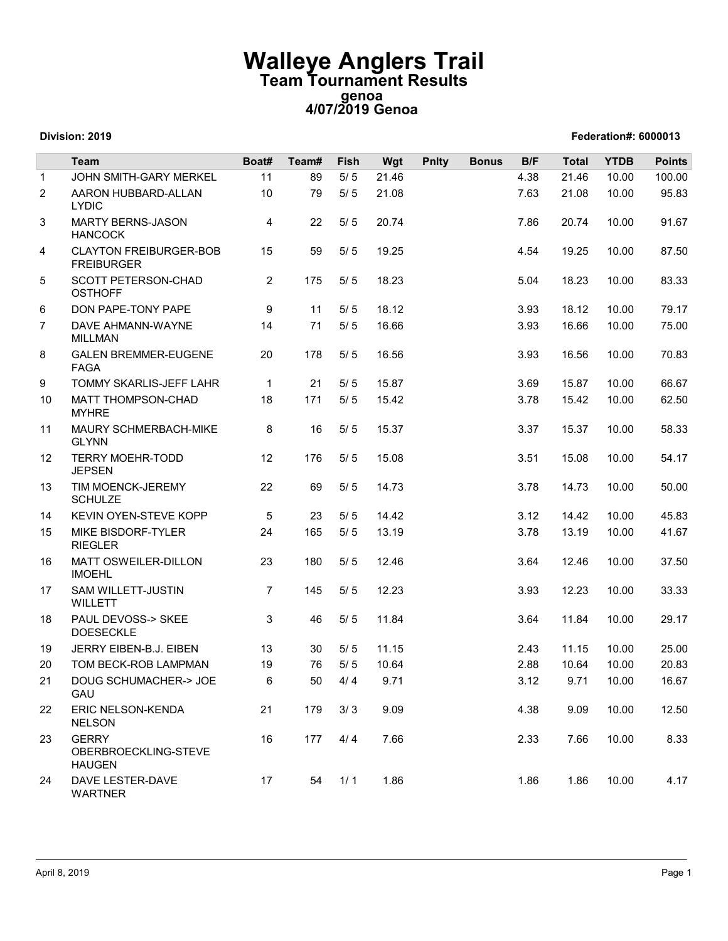## Walleye Anglers Trail Team Tournament Results genoa 4/07/2019 Genoa

Division: 2019 Federation#: 6000013

## Team Boat# Team# Fish Wgt Pnlty Bonus B/F Total YTDB Points 1 JOHN SMITH-GARY MERKEL 11 89 5/ 5 21.46 4.38 21.46 10.00 100.00 **Walleye Anglers Train<br>
Team Tournament Results<br>
genoa<br>
Division: 2019<br>
Team Boat# Team# Fish Wgt Phity B<br>
2 AARON HUBBARD-ALLAN<br>
2 AARON HUBBARD-ALLAN<br>
2 AARON HUBBARD-ALLAN<br>
2 5/5 21.08<br>
HANCOCK<br>
4 CLAYTON FREIBURGER-BOB** LYDIC **Team Tournament Results<br>
4/07/2019 Genoa<br>
4/07/2019 Genoa<br>
Tederation#: 6000013<br>
11 69 5/5 21.46<br>
10 79 5/5 21.08<br>
22 5/5 20.74<br>
13 69 5/5 19.25<br>
13 69 5/5 19.25<br>
14 7.66 20.74<br>
16 10.00 91.67<br>
16 10.00 91.67<br>
16 10.00 91 Walleye Anglers Transform of Marty School (1998)**<br> **Solution: 2019**<br>
Team Boat# Team# Fish Wgt Phity<br>
JOHN SMITH-GARY MERKEL 11 89 5/5 21.46<br>
2 AARON HUBBARD-ALLAN 10 79 5/5 21.08<br>
IYDIC LAYTON FREIBURGER-BOB 15 59 5/5 19 **HANCOCK alleye Anglers Trail**<br> **Example 19.4 Cancel Angle 19.5 Contains 19.89**<br> **Example 19.86** 5/ 5 21.46<br>
18.9 5/ 5 21.46<br>
18.9 5/ 5 21.08<br>
18.9 5/ 5 21.08<br>
18.9 5/ 5 21.08<br>
18.9 5/ 5 20.74<br>
18.9 5/ 5 19.25<br>
175 5/ 5 18.23 **Walleye Anglers Transport of the Magnus School From Tournament Results**<br> **EVALUATE:**<br>
Team **EXAMPLE SCHOOL SCHOOLS SCHOOLS SCHOOLS AND THE SCHOOLS ARRON HUBBARD-ALLAN**<br>
2 AARON HUBBARD-ALLAN 10 79 5/5 21.08<br>
AMRITY BERNS-FREIBURGER **Team Tournament Results**<br> **Team Tournament Results**<br> **Example 19.2019 Genoa**<br> **Example 19.25**<br> **Example 19.25**<br> **Example 19.25**<br> **Example 19.25**<br> **Example 19.25**<br> **Example 19.25**<br> **Example 19.25**<br> **Example 19.25**<br> **Exampl Walleye Anglers Train<br>
Team Tournament Results**<br>
Team 10017/2019 Genoa<br>
4/07/2019 Genoa<br>
Team 10018 MARTY MERKEL<br>
11 89 5/5 21.46<br>
2 ARRON HUBBARD-ALLAN<br>
LYDIC<br>
NARTY BERNS-JASON<br>
4 22 5/5 20.74<br>
HANCOCK<br>
4 CLATONT FREIBU **OSTHOFF alleye Anglers Trail**<br> **Exam Tournament Results**<br> **Example 18.23** 5.04 18.23 115 5.6 18.56 18.56 18.83 16.66 10.00 178<br>
18.55 18.55 18.66 10.00 18.67<br>
18.55 18.66 10.00 18.67<br>
18.55 18.66 18.83 16.66 10.00 178.67<br>
18.56 1 **Walleye Anglers Trail**<br> **Feam Tournament Results**<br>
Federation#: 8000013<br>
Team<br>
1 JOHN SMITH-GARY MERKEL 11 89 5/5 2146<br>
2 AAGON HUBBARD-ALLAN 10 79 5/5 21.08<br>
1 JOHN SMITH-GARY MERKEL 11 89 5/5 21.08<br>
1 JOHN SMITH-GARY ME **Walleye Anglers Transform Team Tournament Results<br>
Division: 2019<br>
Team 4/07/2019 Genoa<br>
Team 4/07/2019 Genoa<br>
Team Boat# Team# Fish Wgt Phity<br>
1 JOHN SMITH-GARY MERKEL<br>
2 AARON HUBBARD-ALLAN 10 79 5/5 21.08<br>
3 MARTY BERN** MILLMAN 14 71 5/ 5 16.66 3.93 16.66 10.00 75.00 **Walleye Anglers Transport Solution: 2019**<br>
Team Tournament Results<br>
genoa<br>
107/2019 Genoa<br>
11 JOHN SMITH-GARY MERKEL<br>
2 AARON HUBBARD-ALLAN 10 79 5/5 21.46<br>
12 AARON HUBBARD-ALLAN 10 79 5/5 21.08<br>
NARTY BERNS-JASON<br>
4 22 FAGA **Example 18 16.69 178 16.69**<br> **Example 18 16.69**<br> **Example 18 16.69**<br> **Example 18 16.69**<br> **Example 18 16.69**<br> **Example 18 16.69**<br> **Example 18 16.69**<br> **Example 18 16.69**<br> **Example 18 16.69**<br> **Example 18 16.69**<br> **Example 18 Town Tournami Results**<br> **School 2019**<br> **Example 10.000 13.69 16.69 16.69 16.69 16.69 16.69 16.69 16.69 16.69 16.69 16.69 16.69 16.69 16.69 16.69 16.69 16.69 16.69 16.69 16.69 16.69 16.69 16.69 16.69 16.69 16.69 16.69 16.6 genoa**<br> **4/07/2019 Genoa**<br> **4/07/2019 Genoa**<br> **1** JOHN SMITH-GARY MERKEL<br>
11 89 5/5 21.46<br>
2<br>
ARON HUBBARD-ALLAN<br>
LYDIC<br>
3<br>
MATT TEREURGER-BOB<br>
FARTY MERTS-JASON<br>
4 22 5/5 20.74<br>
HANCOCK<br>
4 CLAYTON FREIBURGER-BOB<br>
5 SOTT MYHRE 18 171 5/ 5 15.42 3.78 15.42 10.00 62.50 **Division: 2019**<br> **IDENTIFIER SCHEMER SCHEMER SCHEMER SCHEMER SCHEMER SCHEMER SCHEMER SCHEMER SCHEMER SCHEMER SCHEMER SCHEMER SCHEMER SCHEMER SCHEMER SCHEMER SCHEMER SCHEMER SCHEMER SCHEMER SCHEMER SCHEMER SCHEMER SCHEMER** GLYNN 8 11 5/ 5 16.86 3.33 16.86 10.00 178 5/ 5 16.57 17 5/ 5 16.57 16 16.57 16 5/ 5 16.57 17 5/ 5 16.57 17 5/ 5 16.57 17 5/ 5 16.58 3.37 16.88 16.57 16 5/ 5 16.78 16.88 16.88 16.88 16.88 16.88 16.88 16.88 16.88 16.88 16.88 16.8 **Team Boat# Team# Fish Wgt Pnlty**<br>
1 JOHN SMITH-GARY MERKEL 11 89 5/5 21.46<br>
2 AARON HUBBARD-ALLAN 10 79 5/5 21.08<br>
LYDIC LYDIC 100 MARTY BERNS-JASON<br>
10 79 5/5 20.74<br>
HANCOCK<br>
10 79 5/5 20.74<br>
4 CLAYTON FREIBURGER-BOB 15 JEPSEN 12 12 13 15.6 16.66 16.66 16.86 16.86 16.86 16.87 16.88 16.86 16.97 16.88 16.88 16.86 16.00 16.833 16.86 16.00 178 5/ 5 16.56 16.97 16.88 16.86 16.000 16.87 16.88 16.86 16.97 16.88 16.86 16.000 16.87 16.88 16.86 16.98 16.8 13 JOHN SMITH-GARY MERKEL<br>
2 ARON HUBBARD-ALLAN<br>
10 79 5/5 21.08<br>
LYDIC<br>
3 MARTY BERNS-JASON<br>
HANCOCK<br>
4 CLAYTON FREIBURGER-BOB<br>
4 22 5/5 20.74<br>
HANCOCK<br>
4 CLAYTON FREIBURGER-BOB<br>
5 5 5/5 19.25<br>
5 SCOTT PETERSON-CHAD<br>
2 17 SCHULZE 11 89 5/ 5 21.08 11.8<br>
10 79 5/ 5 21.08 10.00 10.00 10.00<br>
10 79 5/ 5 20.74 7.86 20.74 10.00 95.83<br>
2 175 5/ 5 18.23 5.04 18.23 10.00 87.50<br>
2 175 5/ 5 18.23 5.04 18.23 10.00 83.33<br>
9 11 5/ 5 18.12 3.93 18.12 10.00 79.17<br> 14 CHUILE CONTROLLING CONTROLLING CONTROLLING CONTROLLING CONTROLLING CONTROLLING CONTROLLING CONTROLLING CONTROLLING CONTROLLING CONTROLLING CONTROLLING CONTROLLING CONTROLLING CONTROLLING CONTROLLING CONTROLLING CONTROLL 3 MARIA YBENNS-JASON<br>
HANCOCK<br>
4 CLAYTON FREIBURGER-BOB<br>
15 SS SCOTT PETERSON-CHAD<br>
5 SCOTT PETERSON-CHAD<br>
2 175 5/5 19.25<br>
5 SCOTT PETERSON-CHAD<br>
2 175 5/5 19.25<br>
7 DAVE AHMANN-WAYNE<br>
14 71 5/5 16.86<br>
MILLIMAN<br>
8 GALEN BR RIEGLER 22 5/ 5 20.74 7.86 20.74 10.00 91.57<br>
2 175 5/ 5 18.23 5.04 18.23 10.00 83.33<br>
9 11 5/ 5 18.12 3.93 18.12 10.00 75.00<br>
20 178 5/ 5 16.66 3.93 16.66 10.00 75.00<br>
21 17 5/ 5 16.66 3.93 16.66 10.00 76.83<br>
1 21 5/ 5 15.87 3.69 4 CLATION FREIBURGER-BOB<br>
FREIBURGER<br>
FREIBURGER<br>
SCOTT PETERSON-CHAD<br>
8 DON PAPE-TONY PAPE<br>
8 DON PAPE-TONY PAPE<br>
16 DON PAPE-TONY PAPE<br>
14 71 5/5 16.86<br>
8 GALEN BREMMER-EUGENE<br>
8 GALEN BREMMER-EUGENE<br>
14 71 5/5 16.56<br>
FA IMOEHL 23 176 5/ 5 13.42 13.56 13.51 15.08 16.56 16.56 16.56 16.56 16.56 16.56 16.56 16.56 16.56 16.56 16.56 16.56 16.56 16.56 16.56 16.56 16.56 16.56 16.56 16.56 16.56 16.56 16.56 16.56 16.56 16.56 16.56 16.56 16.56 16.56 16.56 5 SOUTPELERSON-CHAD<br>
STHOFF<br>
6 DON PAPE-TONY PAPE<br>
7 DAVE AHMANN-WAYNE<br>
17 S/5 16.86<br>
MILLMAN<br>
MILMANN<br>
MILMANN<br>
MILMANN-WAYNE<br>
19 GALEN BREMMER-EUGENE<br>
20 178 5/5 16.56<br>
FAGA<br>
9 GALEN BREMMER-EUGENE<br>
17 17 5/5 16.87<br>
17 M WILLETT 2 176 57 18.23 5.93 18.12 10.00 178.133<br>
1 1 5/ 5 18.12 3.93 18.12 10.00 77.17<br>
1 71 5/ 5 16.56 3.93 16.66 10.00 77.50<br>
1 21 5/ 5 15.87 3.69 15.87 10.00 66.67<br>
1 1 5/ 5 15.87 3.69 15.87 10.00 66.67<br>
1 1 5/ 5 15.87 3.37 15. 18 DON PAPE-IONY PAPE<br>
18 DAVE AHMANN-WAYNE<br>
19 DAVE AHMANN-WAYNE<br>
19 11 5/5 16.66<br>
18 GALEN BREMMER-EUGENE<br>
19 TOMMY SKARLIS-JEFF LAHR<br>
19 TOMMY SKARLIS-JEFF LAHR<br>
19 TOMMY SKARLIS-JEFF LAHR<br>
19 TOMMY SCHMERBACH-MIKE<br>
18 DOESECKLE 3 16.12 16 16.12 16.12 16.14 16.5 16.14 16.5 16.14 16.5 16.14 16.5 16.14 16.5 16.14 16.5 16.14 16.5 16.14 16.5 16.14 16.5 16.14 16.5 16.15 16.14 16.5 16.15 16.14 16.5 16.15 16.14 16.5 16.15 16.14 16.5 16.15 16.14 16.5 16.1 MILLIANT<br>
19 MILLIANT CHANNER ACHLES TEP LAHR<br>
19 GALEN BREMMER ACHLES TEP LAHR<br>
19 TOMMY SKARLIS-JEFF LAHR<br>
19 TOMMY SKARLIS-JEFF LAHR<br>
19 TOMMY SKARLIS-JEFF LAHR<br>
19 TOMMY SKARLIS-JEFF LAHR<br>
19 TOMMY SCHMERBACH-MIKE<br>
18 20 TACHEW HEREART 20 TAN 8 19 16 36 10.00 10.83<br>
20 TAGA COMMY SKARLIS-JEFF LAHR<br>
10 MATTHOMPSON-CHAID<br>
11 MAURY SCHMERBACH-MIKE<br>
20 TAT 19 5 15 15 16 2.88 15 15 16 10.00 85.83<br>
21 TERRY MOEHR-TODD<br>
22 TERRY MOEHR-TODD<br>
22 19<br>
10 MATT THOMPSON-CHAD<br>
10 MATT THOMPSON-CHAD<br>
11 MAURY SCHMERBACH-MIKE<br>
12 MAURY SCHMERBACH-MIKE<br>
12 176 5/5 15.37<br>
12 MAURY SCHMERBACH-MIKE<br>
12 176 5/5 15.38<br>
12 SCHULIZE<br>
13 SCHUMACHER-TODD<br>
12 176 5/5 15.08<br>
13 SCHU GAU  $\begin{array}{cccccccc} 1 & 21 & 5/5 & 15.87 & 3.69 & 15.87 & 10.00 & 66.67 \\ 8 & 171 & 5/5 & 15.42 & 3.78 & 15.42 & 10.00 & 62.50 \\ 9 & 16 & 5/5 & 15.37 & 3.37 & 15.37 & 10.00 & 58.33 \\ 176 & 5/5 & 15.08 & 3.51 & 15.08 & 10.00 & 54.17 \\ 18 & 15.08 & 15.08 & 14.73 & 10.$ 10 MATT THOMPSON-CHAD<br>
11 MAURY SCHMERBACH-MIKE<br>
11 MAURY SCHMERBACH-MIKE<br>
12 TERRY MOEHR-TODD<br>
12 176 5/5 15.37<br>
12 TERRY MOEHR-TODD<br>
12 176 5/5 15.37<br>
13 TIMMOEMCK-JEREMY<br>
13 MAUROEMCK-JEREMY<br>
13 SCHULZE<br>
14 KEVIN OYEN-S NELSON 16 179 57 57 16.42 10.00 68.33<br>
179 57 57 16.9<br>
179 57 57 16.08<br>
179 57 57 16.08<br>
179 57 57 14.73<br>
179 57 57 14.73<br>
180 57 57 14.42<br>
180 57 57 12.46<br>
180 57 57 12.48<br>
180 57 57 12.48<br>
180 57 11.5<br>
180 57 11.5<br>
180 57 11.15 11 MADURY SCHMERSACH-MIKE<br>
23 GLYNN<br>
23 TERRY MOEHR-TODD<br>
33 TIM MOENCK-JEREMY<br>
33 TIM MOENCK-JEREMY<br>
22 69 5/5 14.42<br>
35 TIM MOENCK-JEREMY<br>
22 69 5/5 14.42<br>
35 TIM MOENCK-JEREMY<br>
22 69 5/5 14.42<br>
35 TIM MOEHL<br>
22 NILLETT-OBERBROECKLING-STEVE HAUGEN 16 5/ 5 15.37<br>
16 5/ 5 15.37<br>
16 5/ 5 15.08<br>
21 16 5/ 5 15.08<br>
22 69 5/ 5 14.73<br>
23 5/ 5 14.73<br>
23 5/ 5 14.42<br>
24 6<br>
3.78 14.73<br>
3.78 14.73<br>
3.78 14.73<br>
3.78 14.73<br>
3.78 14.73<br>
3.78 14.73<br>
3.78 14.73<br>
3.78 14.73<br>
3.78 14.7 3<br>
24 DEPSEN<br>
22 DEPSENT 22 09 5/5 14.73<br>
3 CHULZE<br>
14 KEVIN OYEN-STEVE KOPP 5 23 5/5 14.42<br>
15 MKE BISDORF-TYLER<br>
16 MATT OSWEILER-DILLON<br>
23 180 5/5 12.46<br>
17 SAM WILLETT-JUSTIN 7 145 5/5 12.23<br>
21 DOLD DEVOSS-> SKEE 3 4 WARTNER 22 69 5/ 5 14.73 13.78 14.73 10.00 50.00<br>
5 23 5/ 5 14.42 3.12 14.42 10.00 45.83<br>
24 165 5/ 5 13.19 3.78 13.19 10.00 41.67<br>
180 5/ 5 12.46 3.64 12.46 10.00 37.50<br>
7 145 5/ 5 12.23 3.93 12.23 10.00 33.33<br>
3 46 5/ 5 11.15 2.